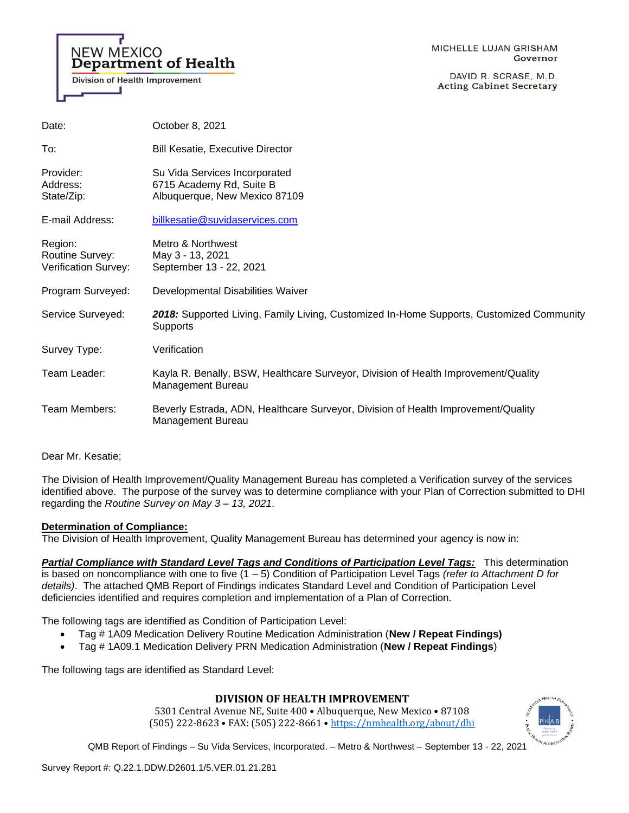# **NEW MEXICO Department of Health**

**Division of Health Improvement** 

DAVID R. SCRASE, M.D. **Acting Cabinet Secretary** 

| October 8, 2021                                                                                         |
|---------------------------------------------------------------------------------------------------------|
| <b>Bill Kesatie, Executive Director</b>                                                                 |
| Su Vida Services Incorporated<br>6715 Academy Rd, Suite B<br>Albuquerque, New Mexico 87109              |
| billkesatie@suvidaservices.com                                                                          |
| Metro & Northwest<br>May 3 - 13, 2021<br>September 13 - 22, 2021                                        |
| Developmental Disabilities Waiver                                                                       |
| 2018: Supported Living, Family Living, Customized In-Home Supports, Customized Community<br>Supports    |
| Verification                                                                                            |
| Kayla R. Benally, BSW, Healthcare Surveyor, Division of Health Improvement/Quality<br>Management Bureau |
| Beverly Estrada, ADN, Healthcare Surveyor, Division of Health Improvement/Quality<br>Management Bureau  |
|                                                                                                         |

Dear Mr. Kesatie;

The Division of Health Improvement/Quality Management Bureau has completed a Verification survey of the services identified above. The purpose of the survey was to determine compliance with your Plan of Correction submitted to DHI regarding the *Routine Survey on May 3 – 13, 2021*.

# **Determination of Compliance:**

The Division of Health Improvement, Quality Management Bureau has determined your agency is now in:

*Partial Compliance with Standard Level Tags and Conditions of Participation Level Tags:* This determination is based on noncompliance with one to five (1 – 5) Condition of Participation Level Tags *(refer to Attachment D for details)*. The attached QMB Report of Findings indicates Standard Level and Condition of Participation Level deficiencies identified and requires completion and implementation of a Plan of Correction.

The following tags are identified as Condition of Participation Level:

- Tag # 1A09 Medication Delivery Routine Medication Administration (**New / Repeat Findings)**
- Tag # 1A09.1 Medication Delivery PRN Medication Administration (**New / Repeat Findings**)

The following tags are identified as Standard Level:

# **DIVISION OF HEALTH IMPROVEMENT**

5301 Central Avenue NE, Suite 400 • Albuquerque, New Mexico • 87108 (505) 222-8623 • FAX: (505) 222-8661 • <https://nmhealth.org/about/dhi>

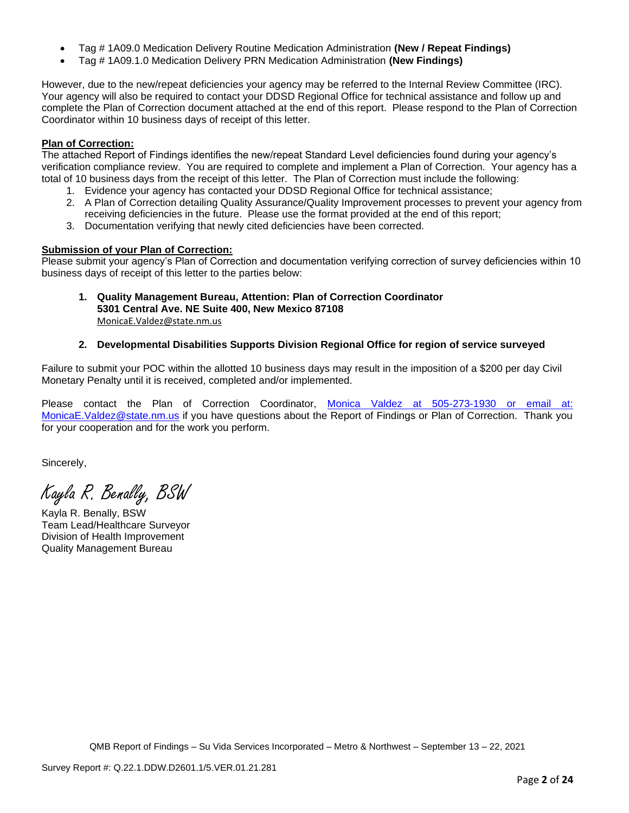- Tag # 1A09.0 Medication Delivery Routine Medication Administration **(New / Repeat Findings)**
- Tag # 1A09.1.0 Medication Delivery PRN Medication Administration **(New Findings)**

However, due to the new/repeat deficiencies your agency may be referred to the Internal Review Committee (IRC). Your agency will also be required to contact your DDSD Regional Office for technical assistance and follow up and complete the Plan of Correction document attached at the end of this report. Please respond to the Plan of Correction Coordinator within 10 business days of receipt of this letter.

# **Plan of Correction:**

The attached Report of Findings identifies the new/repeat Standard Level deficiencies found during your agency's verification compliance review. You are required to complete and implement a Plan of Correction. Your agency has a total of 10 business days from the receipt of this letter. The Plan of Correction must include the following:

- 1. Evidence your agency has contacted your DDSD Regional Office for technical assistance;
- 2. A Plan of Correction detailing Quality Assurance/Quality Improvement processes to prevent your agency from receiving deficiencies in the future. Please use the format provided at the end of this report;
- 3. Documentation verifying that newly cited deficiencies have been corrected.

# **Submission of your Plan of Correction:**

Please submit your agency's Plan of Correction and documentation verifying correction of survey deficiencies within 10 business days of receipt of this letter to the parties below:

**1. Quality Management Bureau, Attention: Plan of Correction Coordinator 5301 Central Ave. NE Suite 400, New Mexico 87108** [MonicaE.Valdez@state.nm.us](mailto:MonicaE.Valdez@state.nm.us)

# **2. Developmental Disabilities Supports Division Regional Office for region of service surveyed**

Failure to submit your POC within the allotted 10 business days may result in the imposition of a \$200 per day Civil Monetary Penalty until it is received, completed and/or implemented.

Please contact the Plan of Correction Coordinator, Monica Valdez at 505-273-1930 or email at: [MonicaE.Valdez@state.nm.us](mailto:MonicaE.Valdez@state.nm.us) if you have questions about the Report of Findings or Plan of Correction. Thank you for your cooperation and for the work you perform.

Sincerely,

Kayla R. Benally, BSW

Kayla R. Benally, BSW Team Lead/Healthcare Surveyor Division of Health Improvement Quality Management Bureau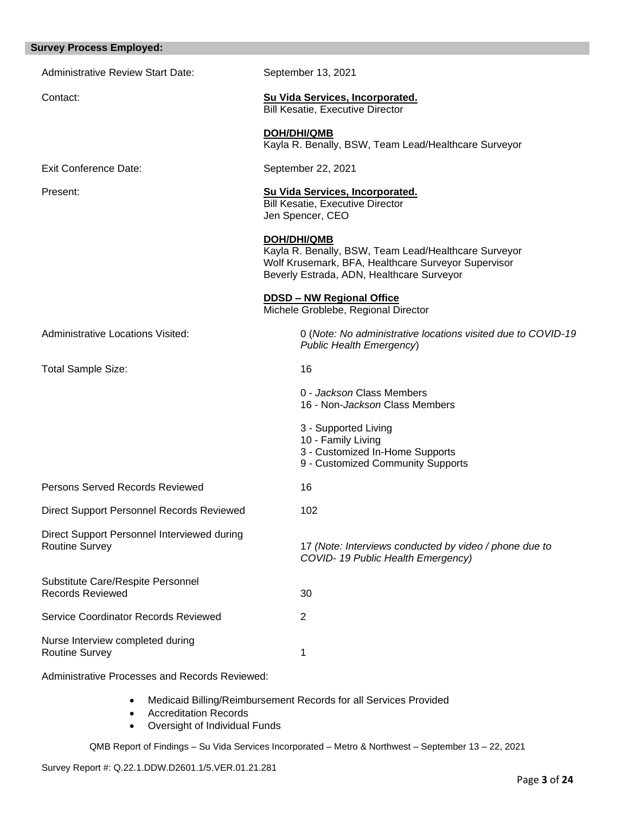### **Survey Process Employed:**

| <b>Administrative Review Start Date:</b>                             | September 13, 2021                                                                                                                                                             |  |
|----------------------------------------------------------------------|--------------------------------------------------------------------------------------------------------------------------------------------------------------------------------|--|
| Contact:                                                             | Su Vida Services, Incorporated.<br><b>Bill Kesatie, Executive Director</b>                                                                                                     |  |
|                                                                      | <b>DOH/DHI/QMB</b><br>Kayla R. Benally, BSW, Team Lead/Healthcare Surveyor                                                                                                     |  |
| <b>Exit Conference Date:</b>                                         | September 22, 2021                                                                                                                                                             |  |
| Present:                                                             | Su Vida Services, Incorporated.<br>Bill Kesatie, Executive Director<br>Jen Spencer, CEO                                                                                        |  |
|                                                                      | <b>DOH/DHI/QMB</b><br>Kayla R. Benally, BSW, Team Lead/Healthcare Surveyor<br>Wolf Krusemark, BFA, Healthcare Surveyor Supervisor<br>Beverly Estrada, ADN, Healthcare Surveyor |  |
|                                                                      | DDSD - NW Regional Office<br>Michele Groblebe, Regional Director                                                                                                               |  |
| Administrative Locations Visited:                                    | 0 (Note: No administrative locations visited due to COVID-19<br><b>Public Health Emergency)</b>                                                                                |  |
| <b>Total Sample Size:</b>                                            | 16                                                                                                                                                                             |  |
|                                                                      | 0 - Jackson Class Members<br>16 - Non-Jackson Class Members                                                                                                                    |  |
|                                                                      | 3 - Supported Living<br>10 - Family Living<br>3 - Customized In-Home Supports<br>9 - Customized Community Supports                                                             |  |
| Persons Served Records Reviewed                                      | 16                                                                                                                                                                             |  |
| Direct Support Personnel Records Reviewed                            | 102                                                                                                                                                                            |  |
| Direct Support Personnel Interviewed during<br><b>Routine Survey</b> | 17 (Note: Interviews conducted by video / phone due to<br>COVID-19 Public Health Emergency)                                                                                    |  |
| Substitute Care/Respite Personnel<br><b>Records Reviewed</b>         | 30                                                                                                                                                                             |  |
| Service Coordinator Records Reviewed                                 | $\overline{2}$                                                                                                                                                                 |  |
| Nurse Interview completed during<br><b>Routine Survey</b>            | 1                                                                                                                                                                              |  |

Administrative Processes and Records Reviewed:

- Medicaid Billing/Reimbursement Records for all Services Provided
- Accreditation Records
- Oversight of Individual Funds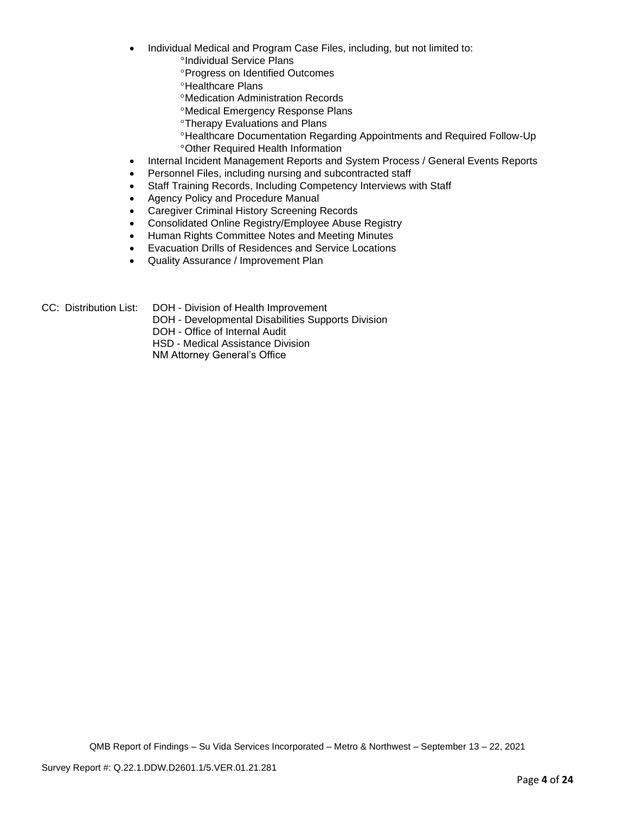- Individual Medical and Program Case Files, including, but not limited to:
	- <sup>o</sup>Individual Service Plans
	- **Progress on Identified Outcomes**
	- **<sup>o</sup>Healthcare Plans**
	- Medication Administration Records
	- Medical Emergency Response Plans
	- **<sup>o</sup>Therapy Evaluations and Plans**
	- Healthcare Documentation Regarding Appointments and Required Follow-Up Other Required Health Information
- Internal Incident Management Reports and System Process / General Events Reports
- Personnel Files, including nursing and subcontracted staff
- Staff Training Records, Including Competency Interviews with Staff
- Agency Policy and Procedure Manual
- Caregiver Criminal History Screening Records
- Consolidated Online Registry/Employee Abuse Registry
- Human Rights Committee Notes and Meeting Minutes
- Evacuation Drills of Residences and Service Locations
- Quality Assurance / Improvement Plan

- CC: Distribution List: DOH Division of Health Improvement
	- DOH Developmental Disabilities Supports Division

DOH - Office of Internal Audit

HSD - Medical Assistance Division

NM Attorney General's Office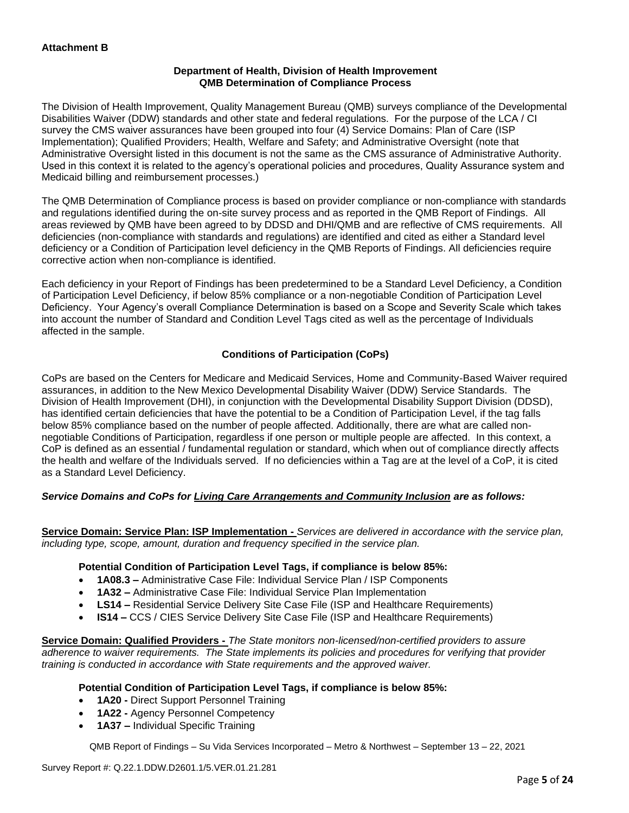### **Department of Health, Division of Health Improvement QMB Determination of Compliance Process**

The Division of Health Improvement, Quality Management Bureau (QMB) surveys compliance of the Developmental Disabilities Waiver (DDW) standards and other state and federal regulations. For the purpose of the LCA / CI survey the CMS waiver assurances have been grouped into four (4) Service Domains: Plan of Care (ISP Implementation); Qualified Providers; Health, Welfare and Safety; and Administrative Oversight (note that Administrative Oversight listed in this document is not the same as the CMS assurance of Administrative Authority. Used in this context it is related to the agency's operational policies and procedures, Quality Assurance system and Medicaid billing and reimbursement processes.)

The QMB Determination of Compliance process is based on provider compliance or non-compliance with standards and regulations identified during the on-site survey process and as reported in the QMB Report of Findings. All areas reviewed by QMB have been agreed to by DDSD and DHI/QMB and are reflective of CMS requirements. All deficiencies (non-compliance with standards and regulations) are identified and cited as either a Standard level deficiency or a Condition of Participation level deficiency in the QMB Reports of Findings. All deficiencies require corrective action when non-compliance is identified.

Each deficiency in your Report of Findings has been predetermined to be a Standard Level Deficiency, a Condition of Participation Level Deficiency, if below 85% compliance or a non-negotiable Condition of Participation Level Deficiency. Your Agency's overall Compliance Determination is based on a Scope and Severity Scale which takes into account the number of Standard and Condition Level Tags cited as well as the percentage of Individuals affected in the sample.

# **Conditions of Participation (CoPs)**

CoPs are based on the Centers for Medicare and Medicaid Services, Home and Community-Based Waiver required assurances, in addition to the New Mexico Developmental Disability Waiver (DDW) Service Standards. The Division of Health Improvement (DHI), in conjunction with the Developmental Disability Support Division (DDSD), has identified certain deficiencies that have the potential to be a Condition of Participation Level, if the tag falls below 85% compliance based on the number of people affected. Additionally, there are what are called nonnegotiable Conditions of Participation, regardless if one person or multiple people are affected. In this context, a CoP is defined as an essential / fundamental regulation or standard, which when out of compliance directly affects the health and welfare of the Individuals served. If no deficiencies within a Tag are at the level of a CoP, it is cited as a Standard Level Deficiency.

# *Service Domains and CoPs for Living Care Arrangements and Community Inclusion are as follows:*

**Service Domain: Service Plan: ISP Implementation -** *Services are delivered in accordance with the service plan, including type, scope, amount, duration and frequency specified in the service plan.*

#### **Potential Condition of Participation Level Tags, if compliance is below 85%:**

- **1A08.3 –** Administrative Case File: Individual Service Plan / ISP Components
- **1A32 –** Administrative Case File: Individual Service Plan Implementation
- **LS14 –** Residential Service Delivery Site Case File (ISP and Healthcare Requirements)
- **IS14 –** CCS / CIES Service Delivery Site Case File (ISP and Healthcare Requirements)

**Service Domain: Qualified Providers -** *The State monitors non-licensed/non-certified providers to assure adherence to waiver requirements. The State implements its policies and procedures for verifying that provider training is conducted in accordance with State requirements and the approved waiver.*

#### **Potential Condition of Participation Level Tags, if compliance is below 85%:**

- **1A20 -** Direct Support Personnel Training
- **1A22 -** Agency Personnel Competency
- **1A37 –** Individual Specific Training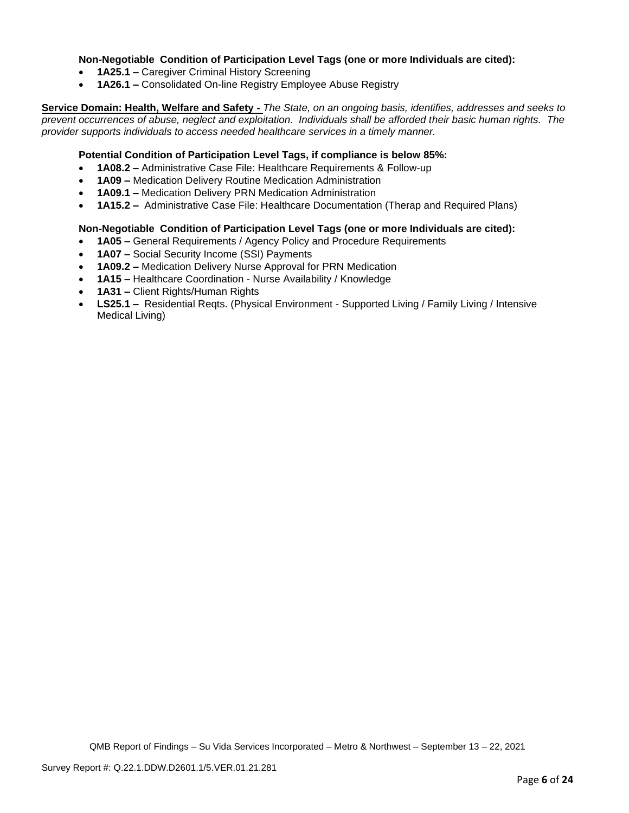#### **Non-Negotiable Condition of Participation Level Tags (one or more Individuals are cited):**

- **1A25.1 –** Caregiver Criminal History Screening
- **1A26.1 –** Consolidated On-line Registry Employee Abuse Registry

**Service Domain: Health, Welfare and Safety -** *The State, on an ongoing basis, identifies, addresses and seeks to prevent occurrences of abuse, neglect and exploitation. Individuals shall be afforded their basic human rights. The provider supports individuals to access needed healthcare services in a timely manner.*

#### **Potential Condition of Participation Level Tags, if compliance is below 85%:**

- **1A08.2 –** Administrative Case File: Healthcare Requirements & Follow-up
- **1A09 –** Medication Delivery Routine Medication Administration
- **1A09.1 –** Medication Delivery PRN Medication Administration
- **1A15.2 –** Administrative Case File: Healthcare Documentation (Therap and Required Plans)

#### **Non-Negotiable Condition of Participation Level Tags (one or more Individuals are cited):**

- **1A05 –** General Requirements / Agency Policy and Procedure Requirements
- **1A07 –** Social Security Income (SSI) Payments
- **1A09.2 –** Medication Delivery Nurse Approval for PRN Medication
- **1A15 –** Healthcare Coordination Nurse Availability / Knowledge
- **1A31 –** Client Rights/Human Rights
- **LS25.1 –** Residential Reqts. (Physical Environment Supported Living / Family Living / Intensive Medical Living)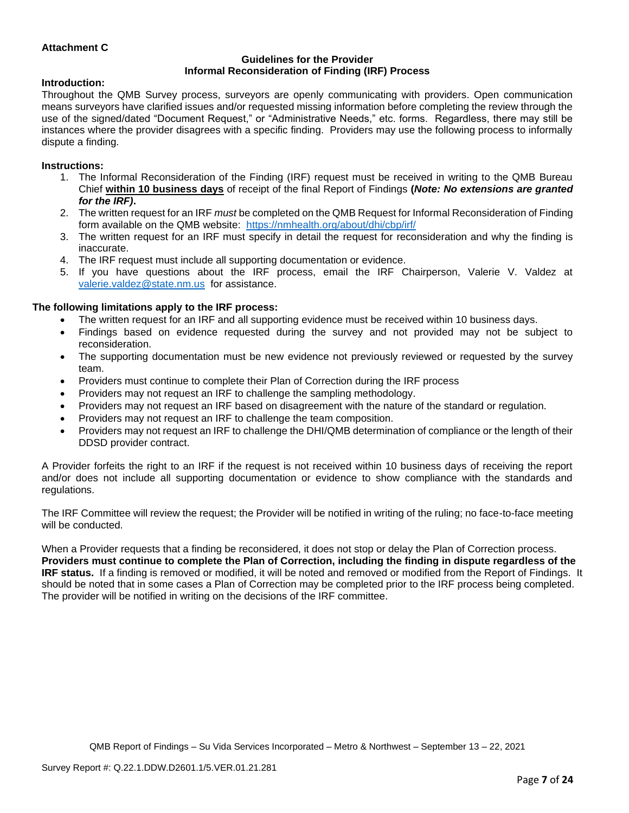### **Attachment C**

#### **Guidelines for the Provider Informal Reconsideration of Finding (IRF) Process**

#### **Introduction:**

Throughout the QMB Survey process, surveyors are openly communicating with providers. Open communication means surveyors have clarified issues and/or requested missing information before completing the review through the use of the signed/dated "Document Request," or "Administrative Needs," etc. forms. Regardless, there may still be instances where the provider disagrees with a specific finding. Providers may use the following process to informally dispute a finding.

#### **Instructions:**

- 1. The Informal Reconsideration of the Finding (IRF) request must be received in writing to the QMB Bureau Chief **within 10 business days** of receipt of the final Report of Findings **(***Note: No extensions are granted for the IRF)***.**
- 2. The written request for an IRF *must* be completed on the QMB Request for Informal Reconsideration of Finding form available on the QMB website: <https://nmhealth.org/about/dhi/cbp/irf/>
- 3. The written request for an IRF must specify in detail the request for reconsideration and why the finding is inaccurate.
- 4. The IRF request must include all supporting documentation or evidence.
- 5. If you have questions about the IRF process, email the IRF Chairperson, Valerie V. Valdez at [valerie.valdez@state.nm.us](mailto:valerie.valdez@state.nm.us) for assistance.

#### **The following limitations apply to the IRF process:**

- The written request for an IRF and all supporting evidence must be received within 10 business days.
- Findings based on evidence requested during the survey and not provided may not be subject to reconsideration.
- The supporting documentation must be new evidence not previously reviewed or requested by the survey team.
- Providers must continue to complete their Plan of Correction during the IRF process
- Providers may not request an IRF to challenge the sampling methodology.
- Providers may not request an IRF based on disagreement with the nature of the standard or regulation.
- Providers may not request an IRF to challenge the team composition.
- Providers may not request an IRF to challenge the DHI/QMB determination of compliance or the length of their DDSD provider contract.

A Provider forfeits the right to an IRF if the request is not received within 10 business days of receiving the report and/or does not include all supporting documentation or evidence to show compliance with the standards and regulations.

The IRF Committee will review the request; the Provider will be notified in writing of the ruling; no face-to-face meeting will be conducted.

When a Provider requests that a finding be reconsidered, it does not stop or delay the Plan of Correction process. **Providers must continue to complete the Plan of Correction, including the finding in dispute regardless of the IRF status.** If a finding is removed or modified, it will be noted and removed or modified from the Report of Findings. It should be noted that in some cases a Plan of Correction may be completed prior to the IRF process being completed. The provider will be notified in writing on the decisions of the IRF committee.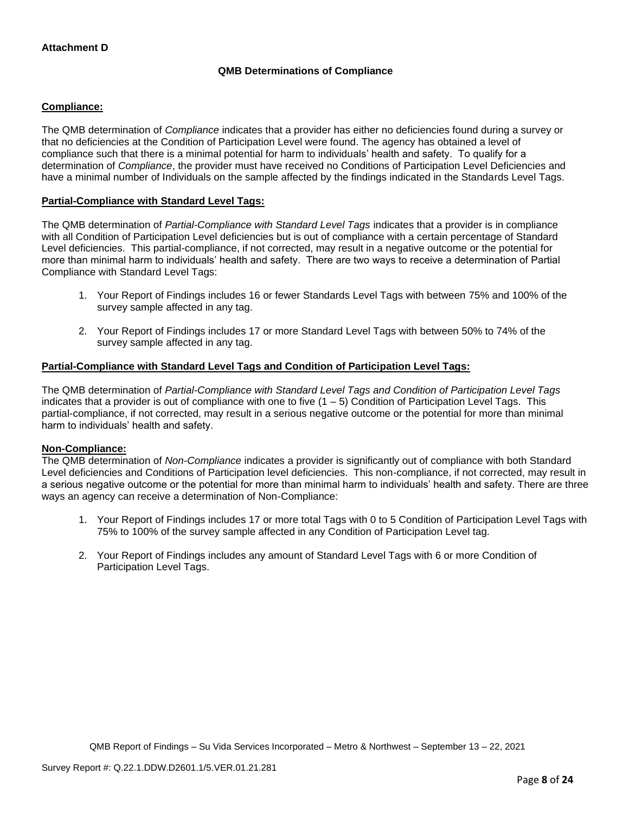# **QMB Determinations of Compliance**

### **Compliance:**

The QMB determination of *Compliance* indicates that a provider has either no deficiencies found during a survey or that no deficiencies at the Condition of Participation Level were found. The agency has obtained a level of compliance such that there is a minimal potential for harm to individuals' health and safety. To qualify for a determination of *Compliance*, the provider must have received no Conditions of Participation Level Deficiencies and have a minimal number of Individuals on the sample affected by the findings indicated in the Standards Level Tags.

#### **Partial-Compliance with Standard Level Tags:**

The QMB determination of *Partial-Compliance with Standard Level Tags* indicates that a provider is in compliance with all Condition of Participation Level deficiencies but is out of compliance with a certain percentage of Standard Level deficiencies. This partial-compliance, if not corrected, may result in a negative outcome or the potential for more than minimal harm to individuals' health and safety. There are two ways to receive a determination of Partial Compliance with Standard Level Tags:

- 1. Your Report of Findings includes 16 or fewer Standards Level Tags with between 75% and 100% of the survey sample affected in any tag.
- 2. Your Report of Findings includes 17 or more Standard Level Tags with between 50% to 74% of the survey sample affected in any tag.

# **Partial-Compliance with Standard Level Tags and Condition of Participation Level Tags:**

The QMB determination of *Partial-Compliance with Standard Level Tags and Condition of Participation Level Tags*  indicates that a provider is out of compliance with one to five  $(1 - 5)$  Condition of Participation Level Tags. This partial-compliance, if not corrected, may result in a serious negative outcome or the potential for more than minimal harm to individuals' health and safety.

#### **Non-Compliance:**

The QMB determination of *Non-Compliance* indicates a provider is significantly out of compliance with both Standard Level deficiencies and Conditions of Participation level deficiencies. This non-compliance, if not corrected, may result in a serious negative outcome or the potential for more than minimal harm to individuals' health and safety. There are three ways an agency can receive a determination of Non-Compliance:

- 1. Your Report of Findings includes 17 or more total Tags with 0 to 5 Condition of Participation Level Tags with 75% to 100% of the survey sample affected in any Condition of Participation Level tag.
- 2. Your Report of Findings includes any amount of Standard Level Tags with 6 or more Condition of Participation Level Tags.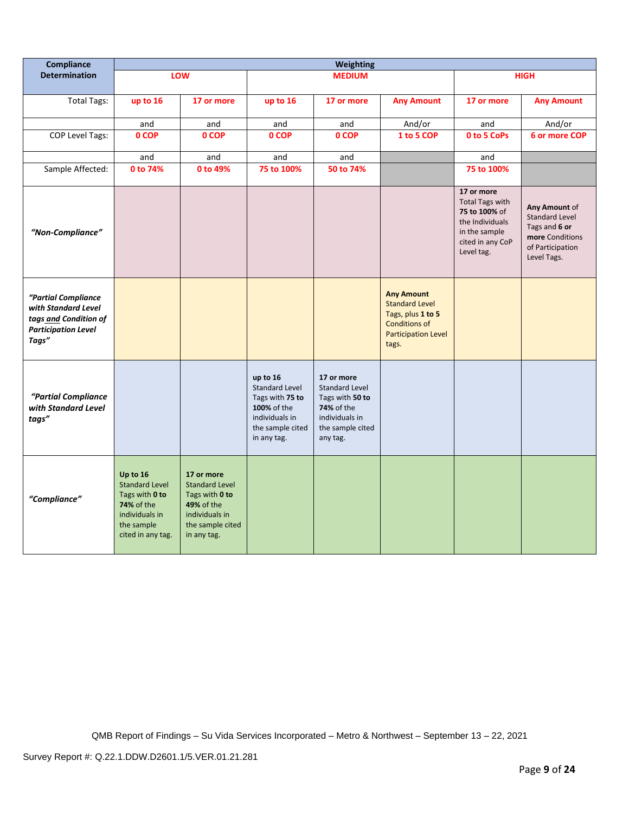| Compliance                                                                                                 | <b>Weighting</b>                                                                                                              |                                                                                                                          |                                                                                                                          |                                                                                                                               |                                                                                                                                |                                                                                                                             |                                                                                                               |
|------------------------------------------------------------------------------------------------------------|-------------------------------------------------------------------------------------------------------------------------------|--------------------------------------------------------------------------------------------------------------------------|--------------------------------------------------------------------------------------------------------------------------|-------------------------------------------------------------------------------------------------------------------------------|--------------------------------------------------------------------------------------------------------------------------------|-----------------------------------------------------------------------------------------------------------------------------|---------------------------------------------------------------------------------------------------------------|
| <b>Determination</b>                                                                                       |                                                                                                                               | LOW                                                                                                                      |                                                                                                                          | <b>MEDIUM</b>                                                                                                                 |                                                                                                                                |                                                                                                                             | <b>HIGH</b>                                                                                                   |
| <b>Total Tags:</b>                                                                                         | up to 16                                                                                                                      | 17 or more                                                                                                               | up to 16                                                                                                                 | 17 or more                                                                                                                    | <b>Any Amount</b>                                                                                                              | 17 or more                                                                                                                  | <b>Any Amount</b>                                                                                             |
|                                                                                                            | and                                                                                                                           | and                                                                                                                      | and                                                                                                                      | and                                                                                                                           | And/or                                                                                                                         | and                                                                                                                         | And/or                                                                                                        |
| <b>COP Level Tags:</b>                                                                                     | 0 COP                                                                                                                         | 0 COP                                                                                                                    | 0 COP                                                                                                                    | 0 COP                                                                                                                         | 1 to 5 COP                                                                                                                     | 0 to 5 CoPs                                                                                                                 | 6 or more COP                                                                                                 |
|                                                                                                            | and                                                                                                                           | and                                                                                                                      | and                                                                                                                      | and                                                                                                                           |                                                                                                                                | and                                                                                                                         |                                                                                                               |
| Sample Affected:                                                                                           | 0 to 74%                                                                                                                      | 0 to 49%                                                                                                                 | 75 to 100%                                                                                                               | 50 to 74%                                                                                                                     |                                                                                                                                | 75 to 100%                                                                                                                  |                                                                                                               |
| "Non-Compliance"                                                                                           |                                                                                                                               |                                                                                                                          |                                                                                                                          |                                                                                                                               |                                                                                                                                | 17 or more<br><b>Total Tags with</b><br>75 to 100% of<br>the Individuals<br>in the sample<br>cited in any CoP<br>Level tag. | Any Amount of<br><b>Standard Level</b><br>Tags and 6 or<br>more Conditions<br>of Participation<br>Level Tags. |
| "Partial Compliance<br>with Standard Level<br>tags and Condition of<br><b>Participation Level</b><br>Tags" |                                                                                                                               |                                                                                                                          |                                                                                                                          |                                                                                                                               | <b>Any Amount</b><br><b>Standard Level</b><br>Tags, plus 1 to 5<br><b>Conditions of</b><br><b>Participation Level</b><br>tags. |                                                                                                                             |                                                                                                               |
| "Partial Compliance<br>with Standard Level<br>tags"                                                        |                                                                                                                               |                                                                                                                          | up to 16<br><b>Standard Level</b><br>Tags with 75 to<br>100% of the<br>individuals in<br>the sample cited<br>in any tag. | 17 or more<br><b>Standard Level</b><br>Tags with 50 to<br><b>74%</b> of the<br>individuals in<br>the sample cited<br>any tag. |                                                                                                                                |                                                                                                                             |                                                                                                               |
| "Compliance"                                                                                               | Up to 16<br><b>Standard Level</b><br>Tags with 0 to<br><b>74% of the</b><br>individuals in<br>the sample<br>cited in any tag. | 17 or more<br><b>Standard Level</b><br>Tags with 0 to<br>49% of the<br>individuals in<br>the sample cited<br>in any tag. |                                                                                                                          |                                                                                                                               |                                                                                                                                |                                                                                                                             |                                                                                                               |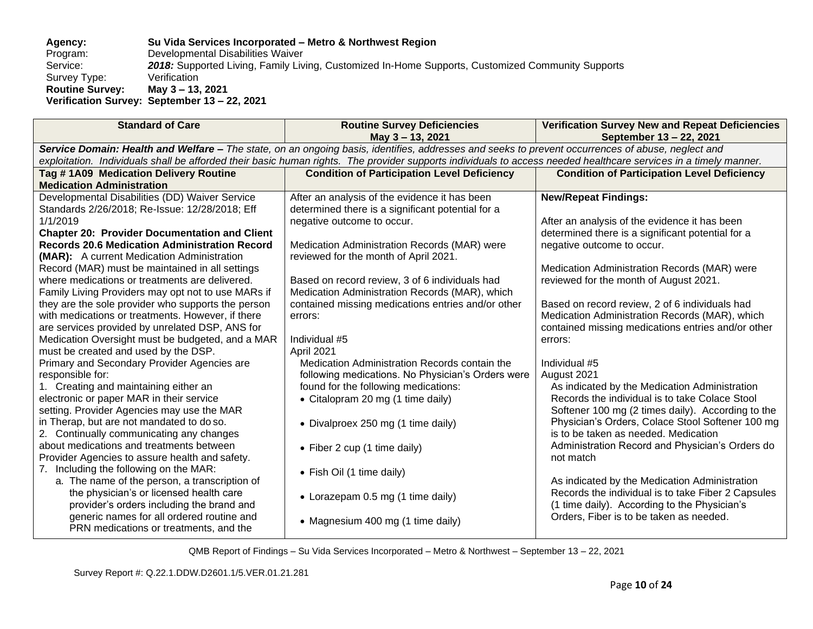#### **Agency: Su Vida Services Incorporated – Metro & Northwest Region** Program: Developmental Disabilities Waiver<br>Service: 2018: Supported Living, Family Liv 2018: Supported Living, Family Living, Customized In-Home Supports, Customized Community Supports<br>Verification Survey Type: **Routine Survey: May 3 – 13, 2021 Verification Survey: September 13 – 22, 2021**

| <b>Standard of Care</b>                              | <b>Routine Survey Deficiencies</b>                                                                                                                               | <b>Verification Survey New and Repeat Deficiencies</b> |  |  |  |  |
|------------------------------------------------------|------------------------------------------------------------------------------------------------------------------------------------------------------------------|--------------------------------------------------------|--|--|--|--|
|                                                      | May 3-13, 2021                                                                                                                                                   | September 13 - 22, 2021                                |  |  |  |  |
|                                                      | Service Domain: Health and Welfare - The state, on an ongoing basis, identifies, addresses and seeks to prevent occurrences of abuse, neglect and                |                                                        |  |  |  |  |
|                                                      | exploitation. Individuals shall be afforded their basic human rights. The provider supports individuals to access needed healthcare services in a timely manner. |                                                        |  |  |  |  |
| Tag #1A09 Medication Delivery Routine                | <b>Condition of Participation Level Deficiency</b>                                                                                                               | <b>Condition of Participation Level Deficiency</b>     |  |  |  |  |
| <b>Medication Administration</b>                     |                                                                                                                                                                  |                                                        |  |  |  |  |
| Developmental Disabilities (DD) Waiver Service       | After an analysis of the evidence it has been                                                                                                                    | <b>New/Repeat Findings:</b>                            |  |  |  |  |
| Standards 2/26/2018; Re-Issue: 12/28/2018; Eff       | determined there is a significant potential for a                                                                                                                |                                                        |  |  |  |  |
| 1/1/2019                                             | negative outcome to occur.                                                                                                                                       | After an analysis of the evidence it has been          |  |  |  |  |
| <b>Chapter 20: Provider Documentation and Client</b> |                                                                                                                                                                  | determined there is a significant potential for a      |  |  |  |  |
| <b>Records 20.6 Medication Administration Record</b> | Medication Administration Records (MAR) were                                                                                                                     | negative outcome to occur.                             |  |  |  |  |
| <b>(MAR):</b> A current Medication Administration    | reviewed for the month of April 2021.                                                                                                                            |                                                        |  |  |  |  |
| Record (MAR) must be maintained in all settings      |                                                                                                                                                                  | Medication Administration Records (MAR) were           |  |  |  |  |
| where medications or treatments are delivered.       | Based on record review, 3 of 6 individuals had                                                                                                                   | reviewed for the month of August 2021.                 |  |  |  |  |
| Family Living Providers may opt not to use MARs if   | Medication Administration Records (MAR), which                                                                                                                   |                                                        |  |  |  |  |
| they are the sole provider who supports the person   | contained missing medications entries and/or other                                                                                                               | Based on record review, 2 of 6 individuals had         |  |  |  |  |
| with medications or treatments. However, if there    | errors:                                                                                                                                                          | Medication Administration Records (MAR), which         |  |  |  |  |
| are services provided by unrelated DSP, ANS for      |                                                                                                                                                                  | contained missing medications entries and/or other     |  |  |  |  |
| Medication Oversight must be budgeted, and a MAR     | Individual #5                                                                                                                                                    | errors:                                                |  |  |  |  |
| must be created and used by the DSP.                 | April 2021                                                                                                                                                       |                                                        |  |  |  |  |
| Primary and Secondary Provider Agencies are          | Medication Administration Records contain the                                                                                                                    | Individual #5                                          |  |  |  |  |
| responsible for:                                     | following medications. No Physician's Orders were                                                                                                                | August 2021                                            |  |  |  |  |
| 1. Creating and maintaining either an                | found for the following medications:                                                                                                                             | As indicated by the Medication Administration          |  |  |  |  |
| electronic or paper MAR in their service             | • Citalopram 20 mg (1 time daily)                                                                                                                                | Records the individual is to take Colace Stool         |  |  |  |  |
| setting. Provider Agencies may use the MAR           |                                                                                                                                                                  | Softener 100 mg (2 times daily). According to the      |  |  |  |  |
| in Therap, but are not mandated to do so.            | • Divalproex 250 mg (1 time daily)                                                                                                                               | Physician's Orders, Colace Stool Softener 100 mg       |  |  |  |  |
| 2. Continually communicating any changes             |                                                                                                                                                                  | is to be taken as needed. Medication                   |  |  |  |  |
| about medications and treatments between             | • Fiber 2 cup (1 time daily)                                                                                                                                     | Administration Record and Physician's Orders do        |  |  |  |  |
| Provider Agencies to assure health and safety.       |                                                                                                                                                                  | not match                                              |  |  |  |  |
| 7. Including the following on the MAR:               | • Fish Oil (1 time daily)                                                                                                                                        |                                                        |  |  |  |  |
| a. The name of the person, a transcription of        |                                                                                                                                                                  | As indicated by the Medication Administration          |  |  |  |  |
| the physician's or licensed health care              | • Lorazepam 0.5 mg (1 time daily)                                                                                                                                | Records the individual is to take Fiber 2 Capsules     |  |  |  |  |
| provider's orders including the brand and            |                                                                                                                                                                  | (1 time daily). According to the Physician's           |  |  |  |  |
| generic names for all ordered routine and            | • Magnesium 400 mg (1 time daily)                                                                                                                                | Orders, Fiber is to be taken as needed.                |  |  |  |  |
| PRN medications or treatments, and the               |                                                                                                                                                                  |                                                        |  |  |  |  |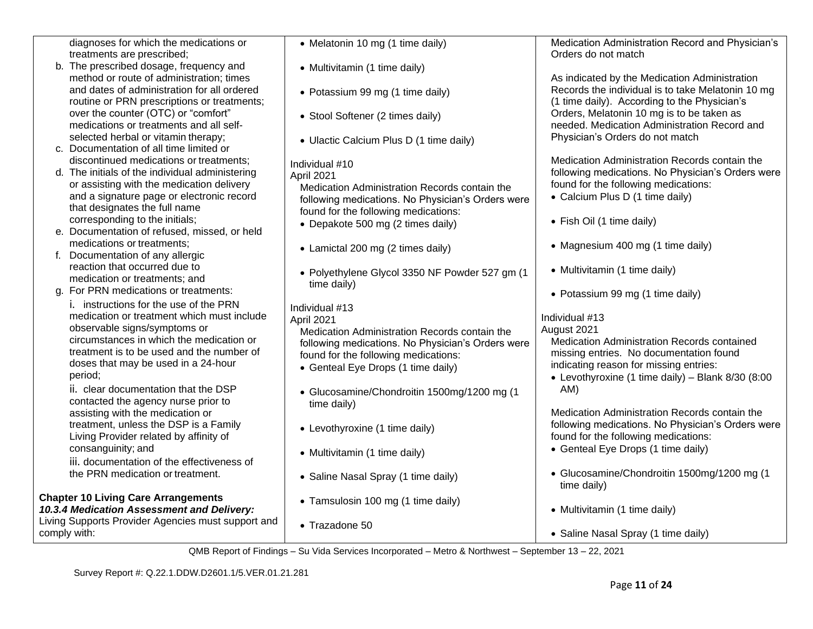diagnoses for which the medications or treatments are prescribed;

- b. The prescribed dosage, frequency and method or route of administration; times and dates of administration for all ordered routine or PRN prescriptions or treatments; over the counter (OTC) or "comfort" medications or treatments and all selfselected herbal or vitamin therapy;
- c. Documentation of all time limited or discontinued medications or treatments;
- d. The initials of the individual administering or assisting with the medication delivery and a signature page or electronic record that designates the full name corresponding to the initials;
- e. Documentation of refused, missed, or held medications or treatments;
- f. Documentation of any allergic reaction that occurred due to medication or treatments; and
- g. For PRN medications or treatments:
	- i. instructions for the use of the PRN medication or treatment which must include observable signs/symptoms or circumstances in which the medication or treatment is to be used and the number of doses that may be used in a 24-hour period;

ii. clear documentation that the DSP contacted the agency nurse prior to assisting with the medication or treatment, unless the DSP is a Family Living Provider related by affinity of consanguinity; and

iii. documentation of the effectiveness of the PRN medication or treatment.

# **Chapter 10 Living Care Arrangements**

*10.3.4 Medication Assessment and Delivery:*  Living Supports Provider Agencies must support and comply with:

| • Melatonin 10 mg (1 time daily)                                                                                                                                                                                | Medication Administration Record and Physician's<br>Orders do not match                                                                                                                                                       |
|-----------------------------------------------------------------------------------------------------------------------------------------------------------------------------------------------------------------|-------------------------------------------------------------------------------------------------------------------------------------------------------------------------------------------------------------------------------|
| • Multivitamin (1 time daily)                                                                                                                                                                                   |                                                                                                                                                                                                                               |
| • Potassium 99 mg (1 time daily)                                                                                                                                                                                | As indicated by the Medication Administration<br>Records the individual is to take Melatonin 10 mg<br>(1 time daily). According to the Physician's                                                                            |
| • Stool Softener (2 times daily)                                                                                                                                                                                | Orders, Melatonin 10 mg is to be taken as<br>needed. Medication Administration Record and                                                                                                                                     |
| • Ulactic Calcium Plus D (1 time daily)                                                                                                                                                                         | Physician's Orders do not match                                                                                                                                                                                               |
| Individual #10<br>April 2021<br>Medication Administration Records contain the<br>following medications. No Physician's Orders were<br>found for the following medications:<br>• Depakote 500 mg (2 times daily) | Medication Administration Records contain the<br>following medications. No Physician's Orders were<br>found for the following medications:<br>• Calcium Plus D (1 time daily)<br>• Fish Oil (1 time daily)                    |
| • Lamictal 200 mg (2 times daily)                                                                                                                                                                               | • Magnesium 400 mg (1 time daily)                                                                                                                                                                                             |
| • Polyethylene Glycol 3350 NF Powder 527 gm (1<br>time daily)                                                                                                                                                   | • Multivitamin (1 time daily)                                                                                                                                                                                                 |
| Individual #13                                                                                                                                                                                                  | • Potassium 99 mg (1 time daily)                                                                                                                                                                                              |
| April 2021<br>Medication Administration Records contain the<br>following medications. No Physician's Orders were<br>found for the following medications:<br>• Genteal Eye Drops (1 time daily)                  | Individual #13<br>August 2021<br><b>Medication Administration Records contained</b><br>missing entries. No documentation found<br>indicating reason for missing entries:<br>• Levothyroxine (1 time daily) - Blank 8/30 (8:00 |
| • Glucosamine/Chondroitin 1500mg/1200 mg (1<br>time daily)                                                                                                                                                      | AM)                                                                                                                                                                                                                           |
| • Levothyroxine (1 time daily)                                                                                                                                                                                  | Medication Administration Records contain the<br>following medications. No Physician's Orders were<br>found for the following medications:                                                                                    |
| • Multivitamin (1 time daily)                                                                                                                                                                                   | • Genteal Eye Drops (1 time daily)                                                                                                                                                                                            |
| • Saline Nasal Spray (1 time daily)                                                                                                                                                                             | • Glucosamine/Chondroitin 1500mg/1200 mg (1<br>time daily)                                                                                                                                                                    |
| • Tamsulosin 100 mg (1 time daily)                                                                                                                                                                              | • Multivitamin (1 time daily)                                                                                                                                                                                                 |

• Trazadone 50

QMB Report of Findings – Su Vida Services Incorporated – Metro & Northwest – September 13 – 22, 2021

• Saline Nasal Spray (1 time daily)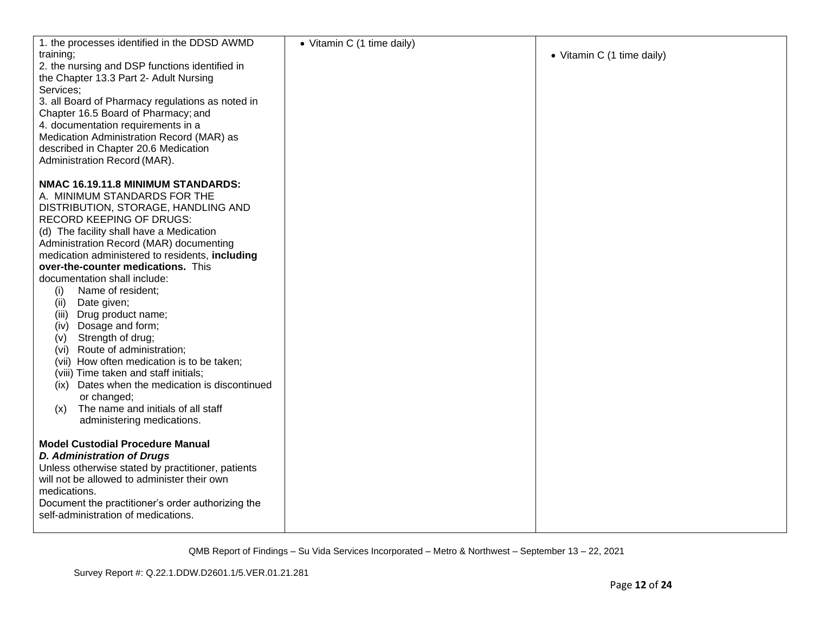| 1. the processes identified in the DDSD AWMD                                           | • Vitamin C (1 time daily) |                            |
|----------------------------------------------------------------------------------------|----------------------------|----------------------------|
| training;                                                                              |                            | • Vitamin C (1 time daily) |
| 2. the nursing and DSP functions identified in                                         |                            |                            |
| the Chapter 13.3 Part 2- Adult Nursing                                                 |                            |                            |
| Services;                                                                              |                            |                            |
| 3. all Board of Pharmacy regulations as noted in                                       |                            |                            |
| Chapter 16.5 Board of Pharmacy; and                                                    |                            |                            |
| 4. documentation requirements in a                                                     |                            |                            |
| Medication Administration Record (MAR) as                                              |                            |                            |
| described in Chapter 20.6 Medication                                                   |                            |                            |
| Administration Record (MAR).                                                           |                            |                            |
|                                                                                        |                            |                            |
| NMAC 16.19.11.8 MINIMUM STANDARDS:                                                     |                            |                            |
| A. MINIMUM STANDARDS FOR THE                                                           |                            |                            |
|                                                                                        |                            |                            |
| DISTRIBUTION, STORAGE, HANDLING AND                                                    |                            |                            |
| <b>RECORD KEEPING OF DRUGS:</b>                                                        |                            |                            |
| (d) The facility shall have a Medication                                               |                            |                            |
| Administration Record (MAR) documenting                                                |                            |                            |
| medication administered to residents, including                                        |                            |                            |
| over-the-counter medications. This                                                     |                            |                            |
| documentation shall include:                                                           |                            |                            |
| Name of resident;<br>(i)                                                               |                            |                            |
| Date given;<br>(ii)                                                                    |                            |                            |
| (iii) Drug product name;                                                               |                            |                            |
| (iv) Dosage and form;                                                                  |                            |                            |
| Strength of drug;<br>(v)                                                               |                            |                            |
| (vi) Route of administration;                                                          |                            |                            |
| (vii) How often medication is to be taken;                                             |                            |                            |
| (viii) Time taken and staff initials;                                                  |                            |                            |
| (ix) Dates when the medication is discontinued<br>or changed;                          |                            |                            |
| The name and initials of all staff                                                     |                            |                            |
| (x)                                                                                    |                            |                            |
| administering medications.                                                             |                            |                            |
| <b>Model Custodial Procedure Manual</b>                                                |                            |                            |
|                                                                                        |                            |                            |
| <b>D. Administration of Drugs</b><br>Unless otherwise stated by practitioner, patients |                            |                            |
| will not be allowed to administer their own                                            |                            |                            |
| medications.                                                                           |                            |                            |
| Document the practitioner's order authorizing the                                      |                            |                            |
| self-administration of medications.                                                    |                            |                            |
|                                                                                        |                            |                            |
|                                                                                        |                            |                            |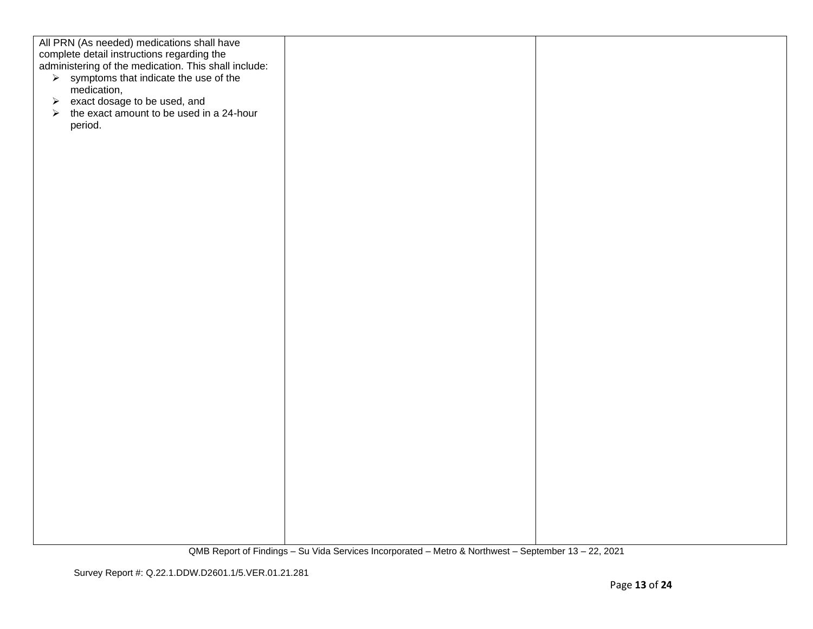| All PRN (As needed) medications shall have                                                         |  |
|----------------------------------------------------------------------------------------------------|--|
|                                                                                                    |  |
| complete detail instructions regarding the<br>administering of the medication. This shall include: |  |
|                                                                                                    |  |
| $\triangleright$ symptoms that indicate the use of the                                             |  |
| medication,                                                                                        |  |
|                                                                                                    |  |
| exact dosage to be used, and<br>$\blacktriangleright$                                              |  |
| $\triangleright$ the exact amount to be used in a 24-hour                                          |  |
| period.                                                                                            |  |
|                                                                                                    |  |
|                                                                                                    |  |
|                                                                                                    |  |
|                                                                                                    |  |
|                                                                                                    |  |
|                                                                                                    |  |
|                                                                                                    |  |
|                                                                                                    |  |
|                                                                                                    |  |
|                                                                                                    |  |
|                                                                                                    |  |
|                                                                                                    |  |
|                                                                                                    |  |
|                                                                                                    |  |
|                                                                                                    |  |
|                                                                                                    |  |
|                                                                                                    |  |
|                                                                                                    |  |
|                                                                                                    |  |
|                                                                                                    |  |
|                                                                                                    |  |
|                                                                                                    |  |
|                                                                                                    |  |
|                                                                                                    |  |
|                                                                                                    |  |
|                                                                                                    |  |
|                                                                                                    |  |
|                                                                                                    |  |
|                                                                                                    |  |
|                                                                                                    |  |
|                                                                                                    |  |
|                                                                                                    |  |
|                                                                                                    |  |
|                                                                                                    |  |
|                                                                                                    |  |
|                                                                                                    |  |
|                                                                                                    |  |
|                                                                                                    |  |
|                                                                                                    |  |
|                                                                                                    |  |
|                                                                                                    |  |
|                                                                                                    |  |
|                                                                                                    |  |
|                                                                                                    |  |
|                                                                                                    |  |
|                                                                                                    |  |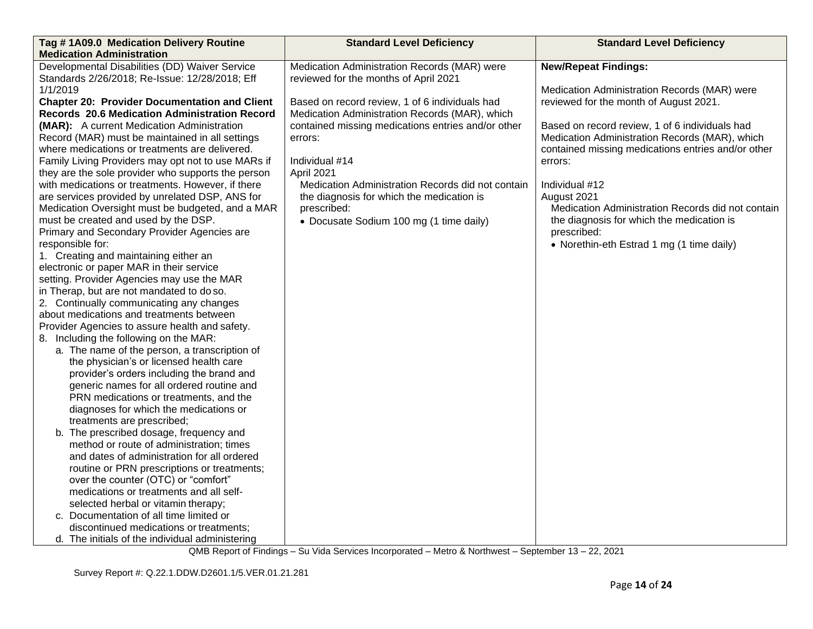| Tag #1A09.0 Medication Delivery Routine                                             | <b>Standard Level Deficiency</b>                   | <b>Standard Level Deficiency</b>                   |
|-------------------------------------------------------------------------------------|----------------------------------------------------|----------------------------------------------------|
| <b>Medication Administration</b>                                                    |                                                    |                                                    |
| Developmental Disabilities (DD) Waiver Service                                      | Medication Administration Records (MAR) were       | <b>New/Repeat Findings:</b>                        |
| Standards 2/26/2018; Re-Issue: 12/28/2018; Eff                                      | reviewed for the months of April 2021              |                                                    |
| 1/1/2019                                                                            |                                                    | Medication Administration Records (MAR) were       |
| <b>Chapter 20: Provider Documentation and Client</b>                                | Based on record review, 1 of 6 individuals had     | reviewed for the month of August 2021.             |
| Records 20.6 Medication Administration Record                                       | Medication Administration Records (MAR), which     |                                                    |
| (MAR): A current Medication Administration                                          | contained missing medications entries and/or other | Based on record review, 1 of 6 individuals had     |
| Record (MAR) must be maintained in all settings                                     | errors:                                            | Medication Administration Records (MAR), which     |
| where medications or treatments are delivered.                                      |                                                    | contained missing medications entries and/or other |
| Family Living Providers may opt not to use MARs if                                  | Individual #14                                     | errors:                                            |
| they are the sole provider who supports the person                                  | April 2021                                         |                                                    |
| with medications or treatments. However, if there                                   | Medication Administration Records did not contain  | Individual #12                                     |
| are services provided by unrelated DSP, ANS for                                     | the diagnosis for which the medication is          | August 2021                                        |
| Medication Oversight must be budgeted, and a MAR                                    | prescribed:                                        | Medication Administration Records did not contain  |
| must be created and used by the DSP.                                                | • Docusate Sodium 100 mg (1 time daily)            | the diagnosis for which the medication is          |
| Primary and Secondary Provider Agencies are                                         |                                                    | prescribed:                                        |
| responsible for:                                                                    |                                                    | • Norethin-eth Estrad 1 mg (1 time daily)          |
| 1. Creating and maintaining either an                                               |                                                    |                                                    |
| electronic or paper MAR in their service                                            |                                                    |                                                    |
| setting. Provider Agencies may use the MAR                                          |                                                    |                                                    |
| in Therap, but are not mandated to do so.                                           |                                                    |                                                    |
| 2. Continually communicating any changes                                            |                                                    |                                                    |
| about medications and treatments between                                            |                                                    |                                                    |
| Provider Agencies to assure health and safety.                                      |                                                    |                                                    |
| 8. Including the following on the MAR:                                              |                                                    |                                                    |
| a. The name of the person, a transcription of                                       |                                                    |                                                    |
| the physician's or licensed health care                                             |                                                    |                                                    |
| provider's orders including the brand and                                           |                                                    |                                                    |
| generic names for all ordered routine and<br>PRN medications or treatments, and the |                                                    |                                                    |
| diagnoses for which the medications or                                              |                                                    |                                                    |
| treatments are prescribed;                                                          |                                                    |                                                    |
| b. The prescribed dosage, frequency and                                             |                                                    |                                                    |
| method or route of administration; times                                            |                                                    |                                                    |
| and dates of administration for all ordered                                         |                                                    |                                                    |
| routine or PRN prescriptions or treatments;                                         |                                                    |                                                    |
| over the counter (OTC) or "comfort"                                                 |                                                    |                                                    |
| medications or treatments and all self-                                             |                                                    |                                                    |
| selected herbal or vitamin therapy;                                                 |                                                    |                                                    |
| c. Documentation of all time limited or                                             |                                                    |                                                    |
| discontinued medications or treatments;                                             |                                                    |                                                    |
| d. The initials of the individual administering                                     |                                                    |                                                    |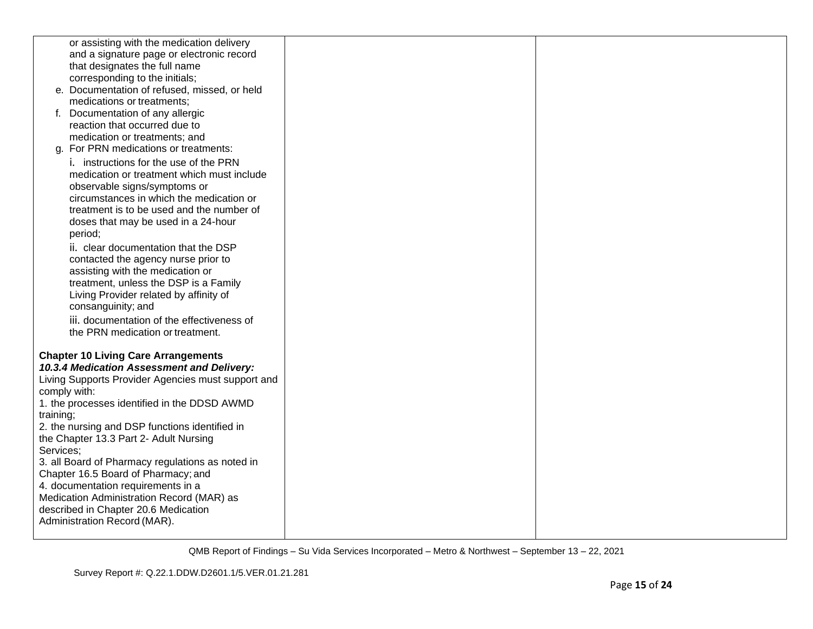| or assisting with the medication delivery          |  |
|----------------------------------------------------|--|
| and a signature page or electronic record          |  |
| that designates the full name                      |  |
| corresponding to the initials;                     |  |
| e. Documentation of refused, missed, or held       |  |
| medications or treatments;                         |  |
| f. Documentation of any allergic                   |  |
| reaction that occurred due to                      |  |
| medication or treatments; and                      |  |
| g. For PRN medications or treatments:              |  |
| i. instructions for the use of the PRN             |  |
| medication or treatment which must include         |  |
| observable signs/symptoms or                       |  |
| circumstances in which the medication or           |  |
| treatment is to be used and the number of          |  |
| doses that may be used in a 24-hour                |  |
| period;                                            |  |
| ii. clear documentation that the DSP               |  |
| contacted the agency nurse prior to                |  |
| assisting with the medication or                   |  |
| treatment, unless the DSP is a Family              |  |
| Living Provider related by affinity of             |  |
| consanguinity; and                                 |  |
| iii. documentation of the effectiveness of         |  |
| the PRN medication or treatment.                   |  |
|                                                    |  |
| <b>Chapter 10 Living Care Arrangements</b>         |  |
| 10.3.4 Medication Assessment and Delivery:         |  |
| Living Supports Provider Agencies must support and |  |
| comply with:                                       |  |
| 1. the processes identified in the DDSD AWMD       |  |
| training;                                          |  |
| 2. the nursing and DSP functions identified in     |  |
| the Chapter 13.3 Part 2- Adult Nursing             |  |
| Services;                                          |  |
| 3. all Board of Pharmacy regulations as noted in   |  |
| Chapter 16.5 Board of Pharmacy; and                |  |
| 4. documentation requirements in a                 |  |
| Medication Administration Record (MAR) as          |  |
| described in Chapter 20.6 Medication               |  |
| Administration Record (MAR).                       |  |
|                                                    |  |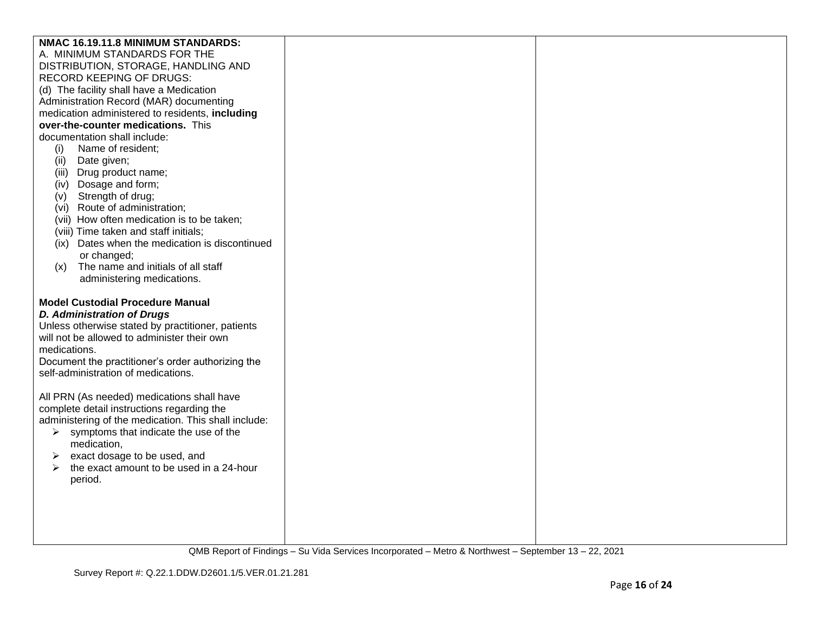| NMAC 16.19.11.8 MINIMUM STANDARDS:                                |  |
|-------------------------------------------------------------------|--|
| A. MINIMUM STANDARDS FOR THE                                      |  |
| DISTRIBUTION, STORAGE, HANDLING AND                               |  |
| <b>RECORD KEEPING OF DRUGS:</b>                                   |  |
| (d) The facility shall have a Medication                          |  |
| Administration Record (MAR) documenting                           |  |
| medication administered to residents, including                   |  |
| over-the-counter medications. This                                |  |
| documentation shall include:                                      |  |
| (i)<br>Name of resident;                                          |  |
| Date given;<br>(ii)                                               |  |
| Drug product name;<br>(iii)                                       |  |
| (iv) Dosage and form;                                             |  |
| Strength of drug;<br>(v)                                          |  |
| (vi) Route of administration;                                     |  |
| (vii) How often medication is to be taken;                        |  |
| (viii) Time taken and staff initials;                             |  |
| (ix) Dates when the medication is discontinued                    |  |
| or changed;                                                       |  |
| The name and initials of all staff<br>(x)                         |  |
| administering medications.                                        |  |
|                                                                   |  |
| <b>Model Custodial Procedure Manual</b>                           |  |
| <b>D. Administration of Drugs</b>                                 |  |
| Unless otherwise stated by practitioner, patients                 |  |
| will not be allowed to administer their own                       |  |
| medications.                                                      |  |
| Document the practitioner's order authorizing the                 |  |
| self-administration of medications.                               |  |
|                                                                   |  |
| All PRN (As needed) medications shall have                        |  |
| complete detail instructions regarding the                        |  |
| administering of the medication. This shall include:              |  |
| symptoms that indicate the use of the<br>➤                        |  |
| medication,                                                       |  |
| exact dosage to be used, and                                      |  |
| the exact amount to be used in a 24-hour<br>$\blacktriangleright$ |  |
| period.                                                           |  |
|                                                                   |  |
|                                                                   |  |
|                                                                   |  |
|                                                                   |  |
|                                                                   |  |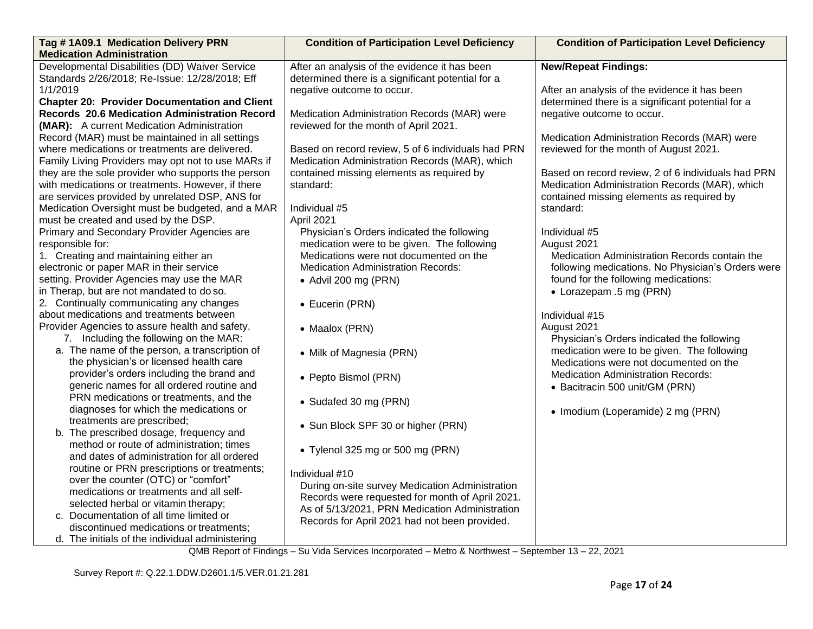| Tag #1A09.1 Medication Delivery PRN                  | <b>Condition of Participation Level Deficiency</b> | <b>Condition of Participation Level Deficiency</b> |
|------------------------------------------------------|----------------------------------------------------|----------------------------------------------------|
| <b>Medication Administration</b>                     |                                                    |                                                    |
| Developmental Disabilities (DD) Waiver Service       | After an analysis of the evidence it has been      | <b>New/Repeat Findings:</b>                        |
| Standards 2/26/2018; Re-Issue: 12/28/2018; Eff       | determined there is a significant potential for a  |                                                    |
| 1/1/2019                                             | negative outcome to occur.                         | After an analysis of the evidence it has been      |
| <b>Chapter 20: Provider Documentation and Client</b> |                                                    | determined there is a significant potential for a  |
| <b>Records 20.6 Medication Administration Record</b> | Medication Administration Records (MAR) were       | negative outcome to occur.                         |
| (MAR): A current Medication Administration           | reviewed for the month of April 2021.              |                                                    |
| Record (MAR) must be maintained in all settings      |                                                    | Medication Administration Records (MAR) were       |
| where medications or treatments are delivered.       | Based on record review, 5 of 6 individuals had PRN | reviewed for the month of August 2021.             |
| Family Living Providers may opt not to use MARs if   | Medication Administration Records (MAR), which     |                                                    |
| they are the sole provider who supports the person   | contained missing elements as required by          | Based on record review, 2 of 6 individuals had PRN |
| with medications or treatments. However, if there    | standard:                                          | Medication Administration Records (MAR), which     |
| are services provided by unrelated DSP, ANS for      |                                                    | contained missing elements as required by          |
| Medication Oversight must be budgeted, and a MAR     | Individual #5                                      | standard:                                          |
| must be created and used by the DSP.                 | April 2021                                         |                                                    |
| Primary and Secondary Provider Agencies are          | Physician's Orders indicated the following         | Individual #5                                      |
| responsible for:                                     | medication were to be given. The following         | August 2021                                        |
| 1. Creating and maintaining either an                | Medications were not documented on the             | Medication Administration Records contain the      |
| electronic or paper MAR in their service             | <b>Medication Administration Records:</b>          | following medications. No Physician's Orders were  |
| setting. Provider Agencies may use the MAR           | • Advil 200 mg (PRN)                               | found for the following medications:               |
| in Therap, but are not mandated to do so.            |                                                    | • Lorazepam .5 mg (PRN)                            |
| 2. Continually communicating any changes             | • Eucerin (PRN)                                    |                                                    |
| about medications and treatments between             |                                                    | Individual #15                                     |
| Provider Agencies to assure health and safety.       | • Maalox (PRN)                                     | August 2021                                        |
| 7. Including the following on the MAR:               |                                                    | Physician's Orders indicated the following         |
| a. The name of the person, a transcription of        | • Milk of Magnesia (PRN)                           | medication were to be given. The following         |
| the physician's or licensed health care              |                                                    | Medications were not documented on the             |
| provider's orders including the brand and            | • Pepto Bismol (PRN)                               | <b>Medication Administration Records:</b>          |
| generic names for all ordered routine and            |                                                    | • Bacitracin 500 unit/GM (PRN)                     |
| PRN medications or treatments, and the               | • Sudafed 30 mg (PRN)                              |                                                    |
| diagnoses for which the medications or               |                                                    | • Imodium (Loperamide) 2 mg (PRN)                  |
| treatments are prescribed;                           | • Sun Block SPF 30 or higher (PRN)                 |                                                    |
| b. The prescribed dosage, frequency and              |                                                    |                                                    |
| method or route of administration; times             | • Tylenol 325 mg or 500 mg (PRN)                   |                                                    |
| and dates of administration for all ordered          |                                                    |                                                    |
| routine or PRN prescriptions or treatments;          | Individual #10                                     |                                                    |
| over the counter (OTC) or "comfort"                  | During on-site survey Medication Administration    |                                                    |
| medications or treatments and all self-              | Records were requested for month of April 2021.    |                                                    |
| selected herbal or vitamin therapy;                  | As of 5/13/2021, PRN Medication Administration     |                                                    |
| c. Documentation of all time limited or              | Records for April 2021 had not been provided.      |                                                    |
| discontinued medications or treatments;              |                                                    |                                                    |
| d. The initials of the individual administering      |                                                    |                                                    |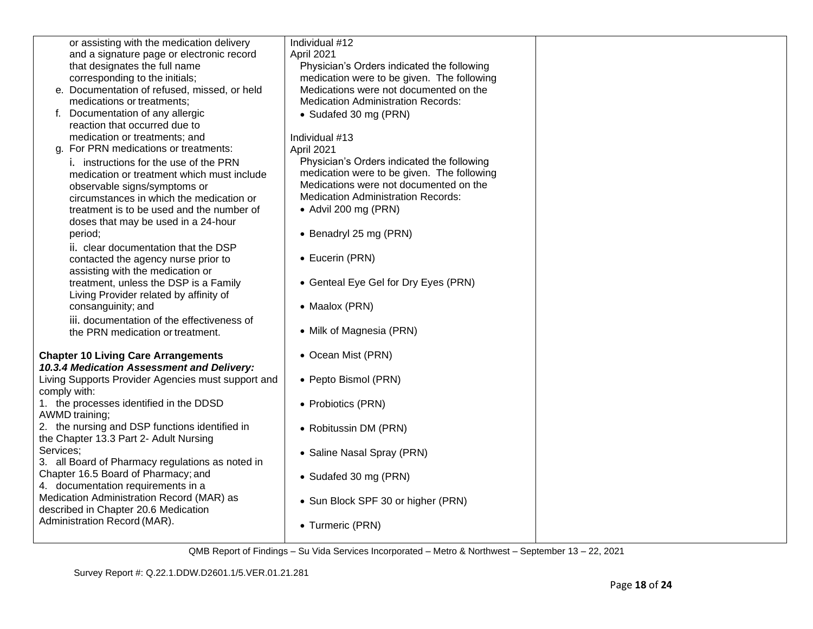|           | or assisting with the medication delivery          | Individual #12                             |  |
|-----------|----------------------------------------------------|--------------------------------------------|--|
|           | and a signature page or electronic record          | April 2021                                 |  |
|           | that designates the full name                      | Physician's Orders indicated the following |  |
|           | corresponding to the initials;                     | medication were to be given. The following |  |
|           | e. Documentation of refused, missed, or held       | Medications were not documented on the     |  |
|           | medications or treatments;                         | <b>Medication Administration Records:</b>  |  |
|           | f. Documentation of any allergic                   | • Sudafed 30 mg (PRN)                      |  |
|           | reaction that occurred due to                      |                                            |  |
|           |                                                    |                                            |  |
|           | medication or treatments; and                      | Individual #13                             |  |
|           | g. For PRN medications or treatments:              | April 2021                                 |  |
|           | i. instructions for the use of the PRN             | Physician's Orders indicated the following |  |
|           | medication or treatment which must include         | medication were to be given. The following |  |
|           | observable signs/symptoms or                       | Medications were not documented on the     |  |
|           | circumstances in which the medication or           | <b>Medication Administration Records:</b>  |  |
|           | treatment is to be used and the number of          | • Advil 200 mg (PRN)                       |  |
|           | doses that may be used in a 24-hour                |                                            |  |
|           | period;                                            | • Benadryl 25 mg (PRN)                     |  |
|           | ii. clear documentation that the DSP               |                                            |  |
|           | contacted the agency nurse prior to                | • Eucerin (PRN)                            |  |
|           | assisting with the medication or                   |                                            |  |
|           |                                                    | • Genteal Eye Gel for Dry Eyes (PRN)       |  |
|           | treatment, unless the DSP is a Family              |                                            |  |
|           | Living Provider related by affinity of             |                                            |  |
|           | consanguinity; and                                 | • Maalox (PRN)                             |  |
|           | iii. documentation of the effectiveness of         |                                            |  |
|           | the PRN medication or treatment.                   | • Milk of Magnesia (PRN)                   |  |
|           |                                                    |                                            |  |
|           | <b>Chapter 10 Living Care Arrangements</b>         | • Ocean Mist (PRN)                         |  |
|           | 10.3.4 Medication Assessment and Delivery:         |                                            |  |
|           | Living Supports Provider Agencies must support and | • Pepto Bismol (PRN)                       |  |
|           | comply with:                                       |                                            |  |
|           | 1. the processes identified in the DDSD            | • Probiotics (PRN)                         |  |
|           | AWMD training;                                     |                                            |  |
|           | 2. the nursing and DSP functions identified in     | • Robitussin DM (PRN)                      |  |
|           | the Chapter 13.3 Part 2- Adult Nursing             |                                            |  |
| Services; |                                                    |                                            |  |
|           | 3. all Board of Pharmacy regulations as noted in   | • Saline Nasal Spray (PRN)                 |  |
|           | Chapter 16.5 Board of Pharmacy; and                |                                            |  |
|           | 4. documentation requirements in a                 | • Sudafed 30 mg (PRN)                      |  |
|           | Medication Administration Record (MAR) as          |                                            |  |
|           |                                                    | • Sun Block SPF 30 or higher (PRN)         |  |
|           | described in Chapter 20.6 Medication               |                                            |  |
|           | Administration Record (MAR).                       | • Turmeric (PRN)                           |  |
|           |                                                    |                                            |  |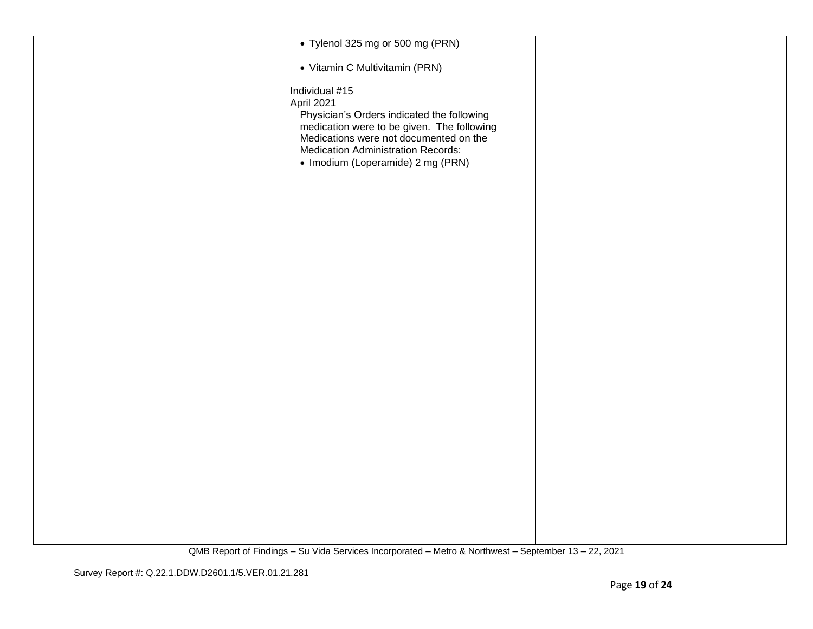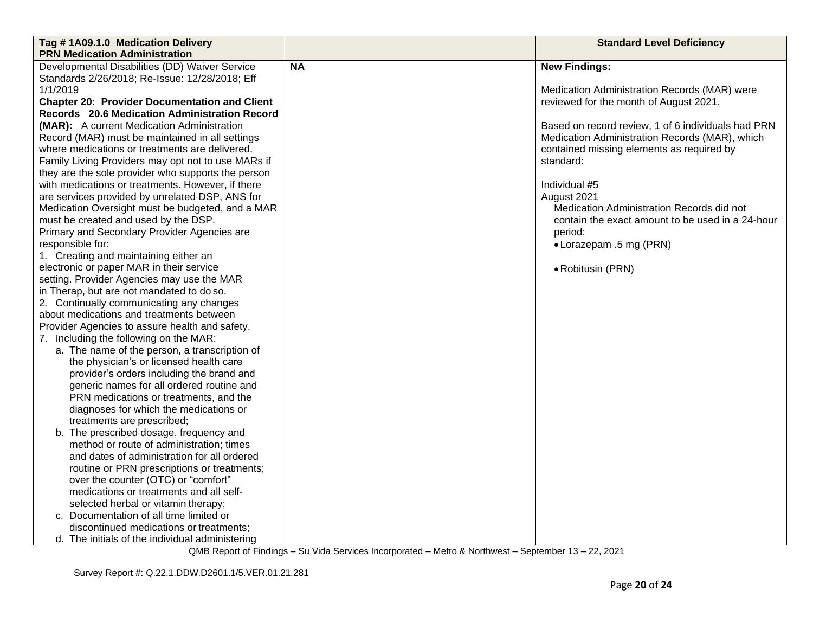| Tag #1A09.1.0 Medication Delivery                    |                                           | <b>Standard Level Deficiency</b>                   |  |
|------------------------------------------------------|-------------------------------------------|----------------------------------------------------|--|
| <b>PRN Medication Administration</b>                 |                                           |                                                    |  |
| Developmental Disabilities (DD) Waiver Service       | <b>NA</b>                                 | <b>New Findings:</b>                               |  |
| Standards 2/26/2018; Re-Issue: 12/28/2018; Eff       |                                           |                                                    |  |
| 1/1/2019                                             |                                           | Medication Administration Records (MAR) were       |  |
| <b>Chapter 20: Provider Documentation and Client</b> |                                           | reviewed for the month of August 2021.             |  |
| Records 20.6 Medication Administration Record        |                                           |                                                    |  |
| (MAR): A current Medication Administration           |                                           | Based on record review, 1 of 6 individuals had PRN |  |
| Record (MAR) must be maintained in all settings      |                                           | Medication Administration Records (MAR), which     |  |
| where medications or treatments are delivered.       | contained missing elements as required by |                                                    |  |
| Family Living Providers may opt not to use MARs if   |                                           | standard:                                          |  |
| they are the sole provider who supports the person   |                                           |                                                    |  |
| with medications or treatments. However, if there    |                                           | Individual #5                                      |  |
| are services provided by unrelated DSP, ANS for      |                                           | August 2021                                        |  |
| Medication Oversight must be budgeted, and a MAR     |                                           | Medication Administration Records did not          |  |
| must be created and used by the DSP.                 |                                           | contain the exact amount to be used in a 24-hour   |  |
| Primary and Secondary Provider Agencies are          |                                           | period:                                            |  |
| responsible for:                                     |                                           | • Lorazepam .5 mg (PRN)                            |  |
| 1. Creating and maintaining either an                |                                           |                                                    |  |
| electronic or paper MAR in their service             |                                           | • Robitusin (PRN)                                  |  |
| setting. Provider Agencies may use the MAR           |                                           |                                                    |  |
| in Therap, but are not mandated to do so.            |                                           |                                                    |  |
| 2. Continually communicating any changes             |                                           |                                                    |  |
| about medications and treatments between             |                                           |                                                    |  |
| Provider Agencies to assure health and safety.       |                                           |                                                    |  |
| 7. Including the following on the MAR:               |                                           |                                                    |  |
| a. The name of the person, a transcription of        |                                           |                                                    |  |
| the physician's or licensed health care              |                                           |                                                    |  |
| provider's orders including the brand and            |                                           |                                                    |  |
| generic names for all ordered routine and            |                                           |                                                    |  |
| PRN medications or treatments, and the               |                                           |                                                    |  |
| diagnoses for which the medications or               |                                           |                                                    |  |
| treatments are prescribed;                           |                                           |                                                    |  |
| b. The prescribed dosage, frequency and              |                                           |                                                    |  |
| method or route of administration; times             |                                           |                                                    |  |
| and dates of administration for all ordered          |                                           |                                                    |  |
| routine or PRN prescriptions or treatments;          |                                           |                                                    |  |
| over the counter (OTC) or "comfort"                  |                                           |                                                    |  |
| medications or treatments and all self-              |                                           |                                                    |  |
| selected herbal or vitamin therapy;                  |                                           |                                                    |  |
| c. Documentation of all time limited or              |                                           |                                                    |  |
| discontinued medications or treatments;              |                                           |                                                    |  |
| d. The initials of the individual administering      |                                           |                                                    |  |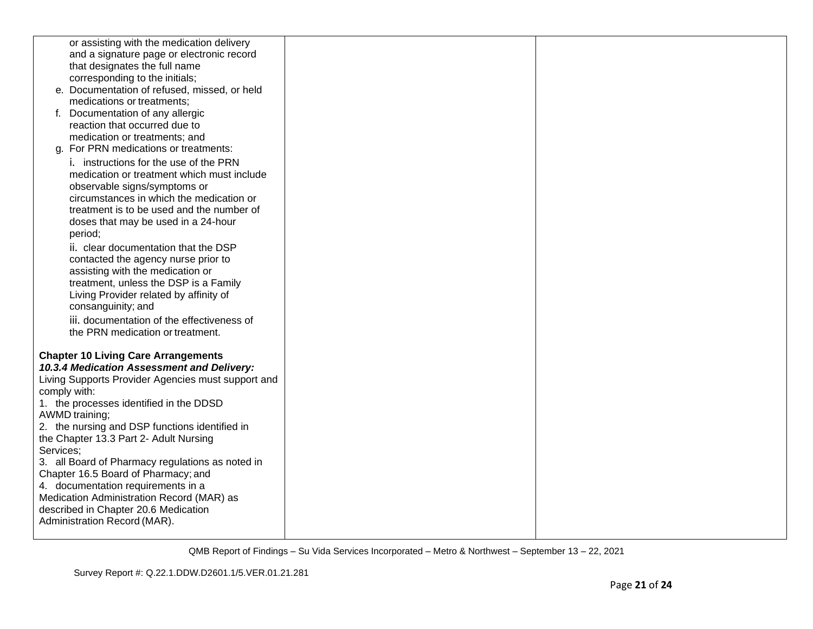| or assisting with the medication delivery          |  |
|----------------------------------------------------|--|
| and a signature page or electronic record          |  |
| that designates the full name                      |  |
| corresponding to the initials;                     |  |
| e. Documentation of refused, missed, or held       |  |
| medications or treatments;                         |  |
| f. Documentation of any allergic                   |  |
| reaction that occurred due to                      |  |
| medication or treatments; and                      |  |
| For PRN medications or treatments:<br>a.           |  |
| i. instructions for the use of the PRN             |  |
| medication or treatment which must include         |  |
| observable signs/symptoms or                       |  |
| circumstances in which the medication or           |  |
| treatment is to be used and the number of          |  |
| doses that may be used in a 24-hour                |  |
| period;                                            |  |
| ii. clear documentation that the DSP               |  |
| contacted the agency nurse prior to                |  |
| assisting with the medication or                   |  |
| treatment, unless the DSP is a Family              |  |
| Living Provider related by affinity of             |  |
| consanguinity; and                                 |  |
| iii. documentation of the effectiveness of         |  |
| the PRN medication or treatment.                   |  |
|                                                    |  |
| <b>Chapter 10 Living Care Arrangements</b>         |  |
| 10.3.4 Medication Assessment and Delivery:         |  |
| Living Supports Provider Agencies must support and |  |
| comply with:                                       |  |
| 1. the processes identified in the DDSD            |  |
| <b>AWMD</b> training;                              |  |
| 2. the nursing and DSP functions identified in     |  |
| the Chapter 13.3 Part 2- Adult Nursing             |  |
| Services;                                          |  |
| 3. all Board of Pharmacy regulations as noted in   |  |
| Chapter 16.5 Board of Pharmacy; and                |  |
| 4. documentation requirements in a                 |  |
| Medication Administration Record (MAR) as          |  |
| described in Chapter 20.6 Medication               |  |
| Administration Record (MAR).                       |  |
|                                                    |  |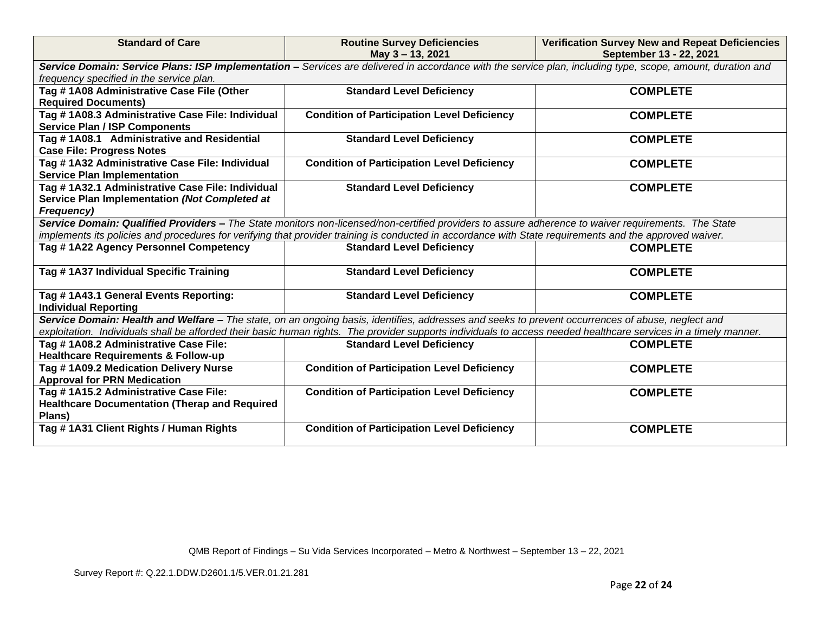| <b>Standard of Care</b>                              | <b>Routine Survey Deficiencies</b><br>May 3 - 13, 2021                                                                                                           | <b>Verification Survey New and Repeat Deficiencies</b><br>September 13 - 22, 2021 |
|------------------------------------------------------|------------------------------------------------------------------------------------------------------------------------------------------------------------------|-----------------------------------------------------------------------------------|
|                                                      | Service Domain: Service Plans: ISP Implementation - Services are delivered in accordance with the service plan, including type, scope, amount, duration and      |                                                                                   |
| frequency specified in the service plan.             |                                                                                                                                                                  |                                                                                   |
| Tag #1A08 Administrative Case File (Other            | <b>Standard Level Deficiency</b>                                                                                                                                 | <b>COMPLETE</b>                                                                   |
| <b>Required Documents)</b>                           |                                                                                                                                                                  |                                                                                   |
| Tag #1A08.3 Administrative Case File: Individual     | <b>Condition of Participation Level Deficiency</b>                                                                                                               | <b>COMPLETE</b>                                                                   |
| <b>Service Plan / ISP Components</b>                 |                                                                                                                                                                  |                                                                                   |
| Tag #1A08.1 Administrative and Residential           | <b>Standard Level Deficiency</b>                                                                                                                                 | <b>COMPLETE</b>                                                                   |
| <b>Case File: Progress Notes</b>                     |                                                                                                                                                                  |                                                                                   |
| Tag # 1A32 Administrative Case File: Individual      | <b>Condition of Participation Level Deficiency</b>                                                                                                               | <b>COMPLETE</b>                                                                   |
| <b>Service Plan Implementation</b>                   |                                                                                                                                                                  |                                                                                   |
| Tag #1A32.1 Administrative Case File: Individual     | <b>Standard Level Deficiency</b>                                                                                                                                 | <b>COMPLETE</b>                                                                   |
| Service Plan Implementation (Not Completed at        |                                                                                                                                                                  |                                                                                   |
| <b>Frequency)</b>                                    |                                                                                                                                                                  |                                                                                   |
|                                                      | Service Domain: Qualified Providers - The State monitors non-licensed/non-certified providers to assure adherence to waiver requirements. The State              |                                                                                   |
|                                                      | implements its policies and procedures for verifying that provider training is conducted in accordance with State requirements and the approved waiver.          |                                                                                   |
| Tag #1A22 Agency Personnel Competency                | <b>Standard Level Deficiency</b>                                                                                                                                 | <b>COMPLETE</b>                                                                   |
| Tag #1A37 Individual Specific Training               | <b>Standard Level Deficiency</b>                                                                                                                                 | <b>COMPLETE</b>                                                                   |
|                                                      |                                                                                                                                                                  |                                                                                   |
| Tag # 1A43.1 General Events Reporting:               | <b>Standard Level Deficiency</b>                                                                                                                                 | <b>COMPLETE</b>                                                                   |
| <b>Individual Reporting</b>                          |                                                                                                                                                                  |                                                                                   |
|                                                      | Service Domain: Health and Welfare - The state, on an ongoing basis, identifies, addresses and seeks to prevent occurrences of abuse, neglect and                |                                                                                   |
|                                                      | exploitation. Individuals shall be afforded their basic human rights. The provider supports individuals to access needed healthcare services in a timely manner. |                                                                                   |
| Tag #1A08.2 Administrative Case File:                | <b>Standard Level Deficiency</b>                                                                                                                                 | <b>COMPLETE</b>                                                                   |
| <b>Healthcare Requirements &amp; Follow-up</b>       |                                                                                                                                                                  |                                                                                   |
| Tag #1A09.2 Medication Delivery Nurse                | <b>Condition of Participation Level Deficiency</b>                                                                                                               | <b>COMPLETE</b>                                                                   |
| <b>Approval for PRN Medication</b>                   |                                                                                                                                                                  |                                                                                   |
| Tag #1A15.2 Administrative Case File:                | <b>Condition of Participation Level Deficiency</b>                                                                                                               | <b>COMPLETE</b>                                                                   |
| <b>Healthcare Documentation (Therap and Required</b> |                                                                                                                                                                  |                                                                                   |
| Plans)                                               |                                                                                                                                                                  |                                                                                   |
| Tag #1A31 Client Rights / Human Rights               | <b>Condition of Participation Level Deficiency</b>                                                                                                               | <b>COMPLETE</b>                                                                   |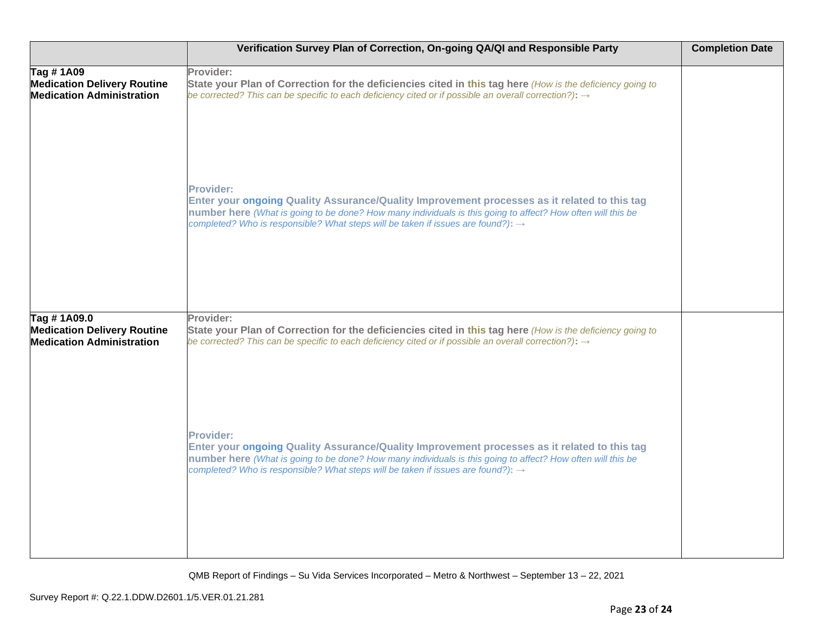|                                                                                       | Verification Survey Plan of Correction, On-going QA/QI and Responsible Party                                                                                                                                                                                                                                                    | <b>Completion Date</b> |
|---------------------------------------------------------------------------------------|---------------------------------------------------------------------------------------------------------------------------------------------------------------------------------------------------------------------------------------------------------------------------------------------------------------------------------|------------------------|
| Tag #1A09<br><b>Medication Delivery Routine</b><br><b>Medication Administration</b>   | Provider:<br>State your Plan of Correction for the deficiencies cited in this tag here (How is the deficiency going to<br>be corrected? This can be specific to each deficiency cited or if possible an overall correction?): $\rightarrow$                                                                                     |                        |
|                                                                                       | <b>Provider:</b><br>Enter your ongoing Quality Assurance/Quality Improvement processes as it related to this tag<br>number here (What is going to be done? How many individuals is this going to affect? How often will this be<br>completed? Who is responsible? What steps will be taken if issues are found?): $\rightarrow$ |                        |
| Tag #1A09.0<br><b>Medication Delivery Routine</b><br><b>Medication Administration</b> | Provider:<br>State your Plan of Correction for the deficiencies cited in this tag here (How is the deficiency going to<br>be corrected? This can be specific to each deficiency cited or if possible an overall correction?): $\rightarrow$                                                                                     |                        |
|                                                                                       | <b>Provider:</b><br>Enter your ongoing Quality Assurance/Quality Improvement processes as it related to this tag<br>number here (What is going to be done? How many individuals is this going to affect? How often will this be<br>completed? Who is responsible? What steps will be taken if issues are found?): $\rightarrow$ |                        |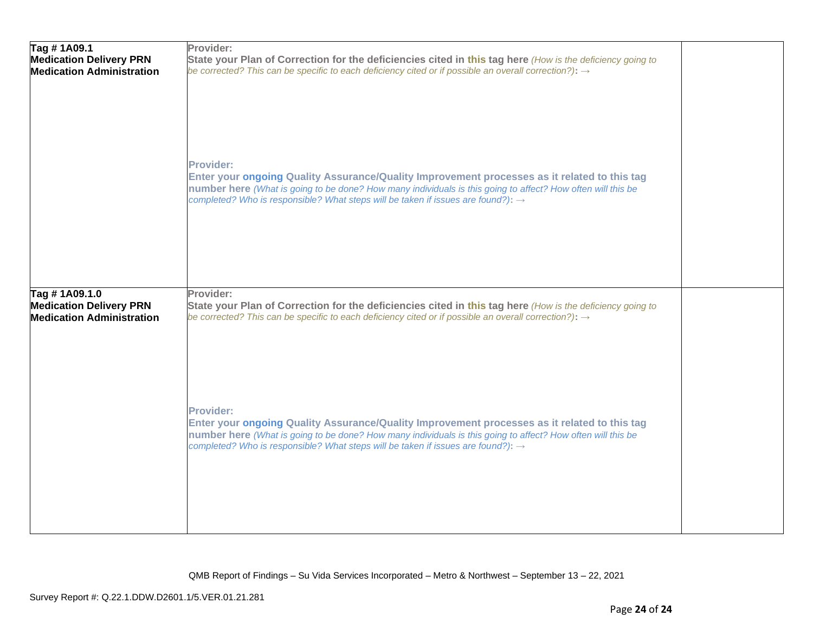| Tag #1A09.1<br><b>Medication Delivery PRN</b><br><b>Medication Administration</b>   | Provider:<br>State your Plan of Correction for the deficiencies cited in this tag here (How is the deficiency going to<br>be corrected? This can be specific to each deficiency cited or if possible an overall correction?): $\rightarrow$                                                                                     |  |
|-------------------------------------------------------------------------------------|---------------------------------------------------------------------------------------------------------------------------------------------------------------------------------------------------------------------------------------------------------------------------------------------------------------------------------|--|
|                                                                                     | <b>Provider:</b><br>Enter your ongoing Quality Assurance/Quality Improvement processes as it related to this tag<br>number here (What is going to be done? How many individuals is this going to affect? How often will this be<br>completed? Who is responsible? What steps will be taken if issues are found?): $\rightarrow$ |  |
| Tag #1A09.1.0<br><b>Medication Delivery PRN</b><br><b>Medication Administration</b> | Provider:<br>State your Plan of Correction for the deficiencies cited in this tag here (How is the deficiency going to<br>be corrected? This can be specific to each deficiency cited or if possible an overall correction?): $\rightarrow$                                                                                     |  |
|                                                                                     | <b>Provider:</b><br>Enter your ongoing Quality Assurance/Quality Improvement processes as it related to this tag<br>number here (What is going to be done? How many individuals is this going to affect? How often will this be<br>completed? Who is responsible? What steps will be taken if issues are found?): $\rightarrow$ |  |